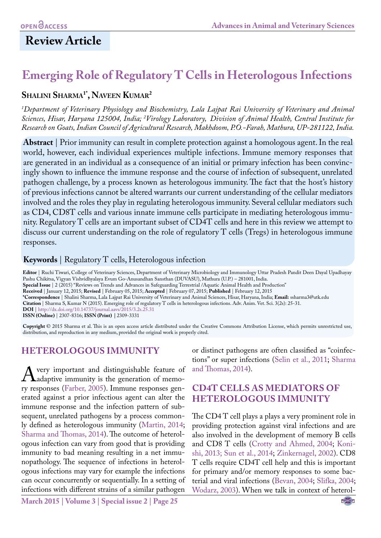# **Review Article**

# **Emerging Role of Regulatory T Cells in Heterologous Infections**

## **Shalini Sharma1\* , Naveen Kumar2**

*1 Department of Veterinary Physiology and Biochemistry, Lala Lajpat Rai University of Veterinary and Animal Sciences, Hisar, Haryana 125004, India; 2 Virology Laboratory, Division of Animal Health, Central Institute for Research on Goats, Indian Council of Agricultural Research, Makhdoom, P.O.-Farah, Mathura, UP-281122, India.*

**Abstract** | Prior immunity can result in complete protection against a homologous agent. In the real world, however, each individual experiences multiple infections. Immune memory responses that are generated in an individual as a consequence of an initial or primary infection has been convincingly shown to influence the immune response and the course of infection of subsequent, unrelated pathogen challenge, by a process known as heterologous immunity. The fact that the host's history of previous infections cannot be altered warrants our current understanding of the cellular mediators involved and the roles they play in regulating heterologous immunity. Several cellular mediators such as CD4, CD8T cells and various innate immune cells participate in mediating heterologous immunity. Regulatory T cells are an important subset of CD4T cells and here in this review we attempt to discuss our current understanding on the role of regulatory T cells (Tregs) in heterologous immune responses.

### **Keywords** | Regulatory T cells, Heterologous infection

**Editor** | Ruchi Tiwari, College of Veterinary Sciences, Department of Veterinary Microbiology and Immunology Uttar Pradesh Pandit Deen Dayal Upadhayay Pashu Chikitsa, Vigyan Vishvidhyalaya Evum Go-Anusandhan Sansthan (DUVASU), Mathura (U.P.) – 281001, India. **Special Issue** | 2 (2015) "Reviews on Trends and Advances in Safeguarding Terrestrial /Aquatic Animal Health and Production" **Received** | January 12, 2015; **Revised** | February 05, 2015; **Accepted** | February 07, 2015; **Published** | February 12, 2015 **\*Correspondence** | Shalini Sharma, Lala Lajpat Rai University of Veterinary and Animal Sciences, Hisar, Haryana, India; **Email:** ssharma3@utk.edu **Citation** | Sharma S, Kumar N (2015). Emerging role of regulatory T cells in heterologous infections. Adv. Anim. Vet. Sci. 3(2s): 25-31. **DOI** | <http://dx.doi.org/10.14737/journal.aavs/2015/3.2s.25.31> **ISSN (Online)** | 2307-8316; **ISSN (Print) |** 2309-3331

**Copyright** © 2015 Sharma et al. This is an open access article distributed under the Creative Commons Attribution License, which permits unrestricted use, distribution, and reproduction in any medium, provided the original work is properly cited.

## **HETEROLOGOUS IMMUNITY**

A very important and distinguishable feature of<br>  $\mu$ adaptive immunity is the generation of memo-<br>
ry responses (Farber 2005) Immune responses genadaptive immunity is the generation of memory responses (Farber, 2005). Immune responses generated against a prior infectious agent can alter the immune response and the infection pattern of subsequent, unrelated pathogens by a process commonly defined as heterologous immunity [\(Martin, 2014](#page-5-0); [Sharma and Thomas, 2014](#page-5-1)). The outcome of heterologous infection can vary from good that is providing immunity to bad meaning resulting in a net immunopathology. The sequence of infections in heterologous infections may vary for example the infections can occur concurrently or sequentially. In a setting of infections with different strains of a similar pathogen

**March 2015 | Volume 3 | Special issue 2 | Page 25**

or distinct pathogens are often classified as "coinfections" or super infections [\(Selin et al., 2011;](#page-5-2) [Sharma](#page-5-1)  [and Thomas, 2014\)](#page-5-1).

## **CD4T CELLS AS MEDIATORS OF HETEROLOGOUS IMMUNITY**

The CD4 T cell plays a plays a very prominent role in providing protection against viral infections and are also involved in the development of memory B cells and CD8 T cells [\(Crotty and Ahmed, 2004;](#page-4-1) [Koni](#page-4-2)[shi, 2013;](#page-4-2) [Sun et al., 2014](#page-5-3); [Zinkernagel, 2002](#page-6-0)). CD8 T cells require CD4T cell help and this is important for primary and/or memory responses to some bacterial and viral infections [\(Bevan, 2004;](#page-4-3) [Slifka, 2004](#page-5-4); [Wodarz, 2003\)](#page-6-1). When we talk in context of heterol-

NE**Xus**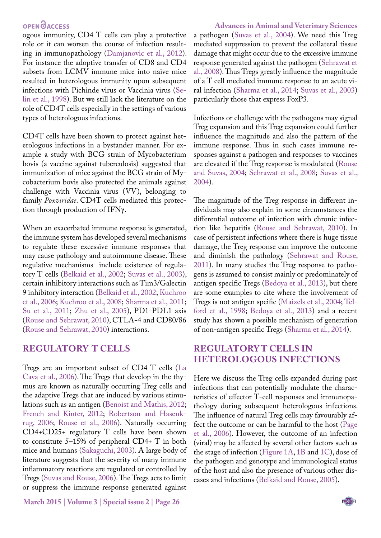ogous immunity, CD4 T cells can play a protective role or it can worsen the course of infection resulting in immunopathology ([Damjanovic et al., 2012](#page-4-4)). For instance the adoptive transfer of CD8 and CD4 subsets from LCMV immune mice into naive mice resulted in heterologous immunity upon subsequent infections with Pichinde virus or Vaccinia virus ([Se](#page-5-5)[lin et al., 1998](#page-5-5)). But we still lack the literature on the role of CD4T cells especially in the settings of various types of heterologous infections.

CD4T cells have been shown to protect against heterologous infections in a bystander manner. For example a study with BCG strain of Mycobacterium bovis (a vaccine against tuberculosis) suggested that immunization of mice against the BCG strain of Mycobacterium bovis also protected the animals against challenge with Vaccinia virus (VV), belonging to family *Poxviridae*. CD4T cells mediated this protection through production of IFNγ.

When an exacerbated immune response is generated, the immune system has developed several mechanisms to regulate these excessive immune responses that may cause pathology and autoimmune disease. These regulative mechanisms include existence of regulatory T cells ([Belkaid et al., 2002](#page-4-5); [Suvas et al., 2003](#page-5-6)), certain inhibitory interactions such as Tim3/Galectin 9 inhibitory interaction [\(Belkaid et al., 2002](#page-4-5); [Kuchroo](#page-4-6) [et al., 2006;](#page-4-6) [Kuchroo et al., 2008](#page-4-7); [Sharma et al., 2011;](#page-5-7) [Su et al., 2011](#page-5-8); [Zhu et al., 2005](#page-6-2)), PD1-PDL1 axis [\(Rouse and Sehrawat, 2010\)](#page-5-9), CTLA-4 and CD80/86 [\(Rouse and Sehrawat, 2010\)](#page-5-9) interactions.

### **REGULATORY T CELLS**

Tregs are an important subset of CD4 T cells [\(La](#page-5-10) [Cava et al., 2006](#page-5-10)). The Tregs that develop in the thymus are known as naturally occurring Treg cells and the adaptive Tregs that are induced by various stimulations such as an antigen [\(Benoist and Mathis, 2012;](#page-4-8) [French and Kinter, 2012](#page-4-9); [Robertson and Hasenk](#page-5-11)[rug, 2006;](#page-5-11) [Rouse et al., 2006](#page-5-12)). Naturally occurring CD4+CD25+ regulatory T cells have been shown to constitute 5–15% of peripheral CD4+ T in both mice and humans ([Sakaguchi, 2003\)](#page-5-13). A large body of literature suggests that the severity of many immune inflammatory reactions are regulated or controlled by Tregs [\(Suvas and Rouse, 2006](#page-6-3)). The Tregs acts to limit or suppress the immune response generated against

**March 2015 | Volume 3 | Special issue 2 | Page 26**

**Advances in Animal and Veterinary Sciences** a pathogen [\(Suvas et al., 2004](#page-5-14)). We need this Treg mediated suppression to prevent the collateral tissue damage that might occur due to the excessive immune response generated against the pathogen [\(Sehrawat et](#page-5-15)  [al., 2008](#page-5-15)). Thus Tregs greatly influence the magnitude of a T cell mediated immune response to an acute viral infection ([Sharma et al., 2014;](#page-5-16) [Suvas et al., 2003\)](#page-5-6) particularly those that express FoxP3.

Infections or challenge with the pathogens may signal Treg expansion and this Treg expansion could further influence the magnitude and also the pattern of the immune response. Thus in such cases immune responses against a pathogen and responses to vaccines are elevated if the Treg response is modulated ([Rouse](#page-5-17)  [and Suvas, 2004](#page-5-17); [Sehrawat et al., 2008](#page-5-15); [Suvas et al.,](#page-5-14)  [2004\)](#page-5-14).

The magnitude of the Treg response in different individuals may also explain in some circumstances the differential outcome of infection with chronic infection like hepatitis ([Rouse and Sehrawat, 2010](#page-5-9)). In case of persistent infections where there is huge tissue damage, the Treg response can improve the outcome and diminish the pathology ([Sehrawat and Rouse,](#page-5-18)  [2011\)](#page-5-18). In many studies the Treg response to pathogens is assumed to consist mainly or predominately of antigen specific Tregs [\(Bedoya et al., 2013](#page-4-10)), but there are some examples to cite where the involvement of Tregs is not antigen speific ([Maizels et al., 2004;](#page-5-19) [Tel](#page-6-4)[ford et al., 1998;](#page-6-4) [Bedoya et al., 2013\)](#page-4-10) and a recent study has shown a possible mechanism of generation of non-antigen specific Tregs ([Sharma et al., 2014\)](#page-5-16).

## **REGULATORY T CELLS IN HETEROLOGOUS INFECTIONS**

Here we discuss the Treg cells expanded during past infections that can potentially modulate the characteristics of effector T-cell responses and immunopathology during subsequent heterologous infections. The influence of natural Treg cells may favourably affect the outcome or can be harmful to the host ([Page](#page-5-20)  [et al., 2006](#page-5-20)). However, the outcome of an infection (viral) may be affected by several other factors such as the stage of infection [\(Figure 1A,](#page-2-0) [1B](#page-2-0) and [1C\)](#page-2-0), dose of the pathogen and genotype and immunological status of the host and also the presence of various other diseases and infections [\(Belkaid and Rouse, 2005\)](#page-4-11).

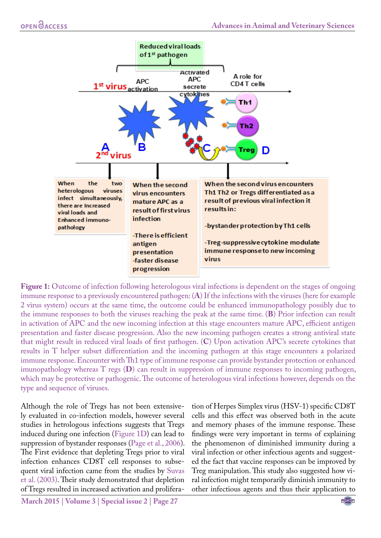

<span id="page-2-0"></span>**Figure 1:** Outcome of infection following heterologous viral infections is dependent on the stages of ongoing immune response to a previously encountered pathogen: (**A**) If the infections with the viruses (here for example 2 virus system) occurs at the same time, the outcome could be enhanced immunopathology possibly due to the immune responses to both the viruses reaching the peak at the same time. (**B**) Prior infection can result in activation of APC and the new incoming infection at this stage encounters mature APC, efficient antigen presentation and faster disease progression. Also the new incoming pathogen creates a strong antiviral state that might result in reduced viral loads of first pathogen. (**C**) Upon activation APC's secrete cytokines that results in T helper subset differentiation and the incoming pathogen at this stage encounters a polarized immune response. Encounter with Th1 type of immune response can provide bystander protection or enhanced imunopathology whereas T regs (**D**) can result in suppression of immune responses to incoming pathogen, which may be protective or pathogenic. The outcome of heterologous viral infections however, depends on the type and sequence of viruses.

Although the role of Tregs has not been extensively evaluated in co-infection models, however several studies in hetrologous infections suggests that Tregs induced during one infection ([Figure 1D](#page-2-0)) can lead to suppression of bystander responses ([Page et al., 2006](#page-5-20)). The First evidence that depleting Tregs prior to viral infection enhances CD8T cell responses to subsequent viral infection came from the studies by [Suvas](#page-5-6) [et al. \(2003\).](#page-5-6) Their study demonstrated that depletion of Tregs resulted in increased activation and proliferation of Herpes Simplex virus (HSV-1) specific CD8T cells and this effect was observed both in the acute and memory phases of the immune response. These findings were very important in terms of explaining the phenomenon of diminished immunity during a viral infection or other infectious agents and suggested the fact that vaccine responses can be improved by Treg manipulation. This study also suggested how viral infection might temporarily diminish immunity to other infectious agents and thus their application to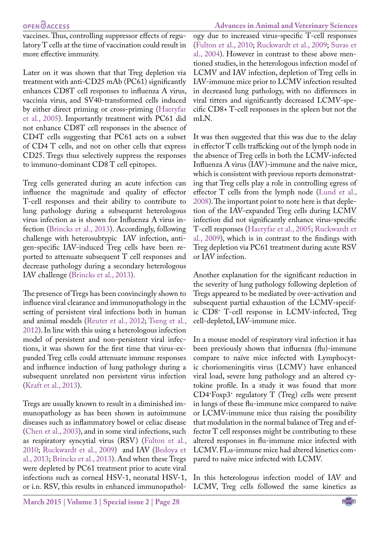vaccines. Thus, controlling suppressor effects of regulatory T cells at the time of vaccination could result in more effective immunity.

Later on it was shown that that Treg depletion via treatment with anti-CD25 mAb (PC61) significantly enhances CD8T cell responses to influenza A virus, vaccinia virus, and SV40-transformed cells induced by either direct priming or cross-priming ([Haeryfar](#page-4-12)  [et al., 2005](#page-4-12)). Importantly treatment with PC61 did not enhance CD8T cell responses in the absence of CD4T cells suggesting that PC61 acts on a subset of CD4 T cells, and not on other cells that express CD25. Tregs thus selectively suppress the responses to immuno-dominant CD8 T cell epitopes.

Treg cells generated during an acute infection can influence the magnitude and quality of effector T-cell responses and their ability to contribute to lung pathology during a subsequent heterologous virus infection as is shown for Influenza A virus infection ([Brincks et al., 2013\)](#page-4-13). Accordingly, following challenge with heterosubtypic IAV infection, antigen-specific IAV-induced Treg cells have been reported to attenuate subsequent T cell responses and decrease pathology during a secondary heterologous IAV challenge ([Brincks et al., 2013](#page-4-13)).

The presence of Tregs has been convincingly shown to influence viral clearance and immunopathology in the setting of persistent viral infections both in human and animal models ([Reuter et al., 2012](#page-5-21); [Tseng et al.,](#page-6-5)  [2012\)](#page-6-5). In line with this using a heterologous infection model of persistent and non-persistent viral infections, it was shown for the first time that virus-expanded Treg cells could attenuate immune responses and influence induction of lung pathology during a subsequent unrelated non persistent virus infection ([Kraft et al., 2013\)](#page-4-14).

Tregs are usually known to result in a diminished immunopathology as has been shown in autoimmune diseases such as inflammatory bowel or celiac disease ([Chen et al., 2003](#page-4-15)), and in some viral infections, such as respiratory syncytial virus (RSV) [\(Fulton et al.,](#page-4-16)  [2010;](#page-4-16) [Ruckwardt et al., 2009\)](#page-5-22) and IAV [\(Bedoya et](#page-4-10)  [al., 2013](#page-4-10); [Brincks et al., 2013](#page-4-13)). And when these Tregs were depleted by PC61 treatment prior to acute viral infections such as corneal HSV-1, neonatal HSV-1, or i.n. RSV, this results in enhanced immunopathol-

**March 2015 | Volume 3 | Special issue 2 | Page 28**

ogy due to increased virus-specific T-cell responses [\(Fulton et al., 2010](#page-4-16); [Ruckwardt et al., 2009](#page-5-22); [Suvas et](#page-5-14) [al., 2004\)](#page-5-14). However in contrast to these above mentioned studies, in the heterologous infection model of LCMV and IAV infection, depletion of Treg cells in IAV-immune mice prior to LCMV infection resulted in decreased lung pathology, with no differences in viral titters and significantly decreased LCMV-specific CD8+ T-cell responses in the spleen but not the mLN.

It was then suggested that this was due to the delay in effector T cells trafficking out of the lymph node in the absence of Treg cells in both the LCMV-infected Influenza A virus (IAV)-immune and the naive mice, which is consistent with previous reports demonstrating that Treg cells play a role in controlling egress of effector T cells from the lymph node [\(Lund et al.,](#page-5-23) [2008](#page-5-23)). The important point to note here is that depletion of the IAV-expanded Treg cells during LCMV infection did not significantly enhance virus-specific T-cell responses [\(Haeryfar et al., 2005](#page-4-12); [Ruckwardt et](#page-5-22) [al., 2009](#page-5-22)), which is in contrast to the findings with Treg depletion via PC61 treatment during acute RSV or IAV infection.

Another explanation for the significant reduction in the severity of lung pathology following depletion of Tregs appeared to be mediated by over-activation and subsequent partial exhaustion of the LCMV-specific CD8+ T-cell response in LCMV-infected, Treg cell-depleted, IAV-immune mice.

In a mouse model of respiratory viral infection it has been previously shown that influenza (flu)-immune compare to naïve mice infected with Lymphocytic choriomeningitis virus (LCMV) have enhanced viral load, severe lung pathology and an altered cytokine profile. In a study it was found that more CD4+ Foxp3+ regulatory T (Treg) cells were present in lungs of these flu-immune mice compared to naïve or LCMV-immune mice thus raising the possibility that modulation in the normal balance of Treg and effector T cell responses might be contributing to these altered responses in flu-immune mice infected with LCMV. FLu-immune mice had altered kinetics compared to naïve mice infected with LCMV.

In this heterologous infection model of IAV and LCMV, Treg cells followed the same kinetics as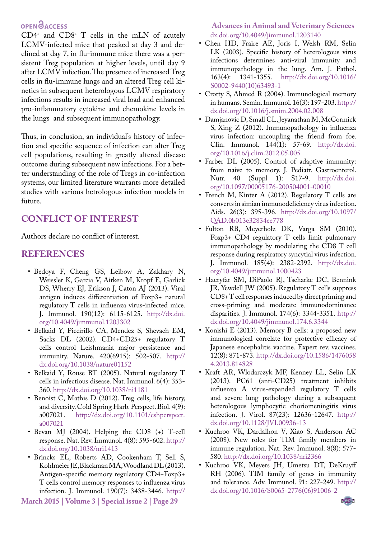$CD4^*$  and  $CD8^*$  T cells in the mLN of acutely LCMV-infected mice that peaked at day 3 and declined at day 7, in flu-immune mice there was a persistent Treg population at higher levels, until day 9 after LCMV infection. The presence of increased Treg cells in flu-immune lungs and an altered Treg cell kinetics in subsequent heterologous LCMV respiratory infections results in increased viral load and enhanced pro-inflammatory cytokine and chemokine levels in the lungs and subsequent immunopathology.

Thus, in conclusion, an individual's history of infection and specific sequence of infection can alter Treg cell populations, resulting in greatly altered disease outcome during subsequent new infections. For a better understanding of the role of Tregs in co-infection systems, our limited literature warrants more detailed studies with various hetrologous infection models in future.

## **CONFLICT OF INTEREST**

Authors declare no conflict of interest.

#### **REFERENCES**

- <span id="page-4-10"></span>• Bedoya F, Cheng GS, Leibow A, Zakhary N, Weissler K, Garcia V, Aitken M, Kropf E, Garlick DS, Wherry EJ, Erikson J, Caton AJ (2013). Viral antigen induces differentiation of Foxp3+ natural regulatory T cells in influenza virus-infected mice. J. Immunol. 190(12): 6115-6125. [http://dx.doi.](http://dx.doi.org/10.4049/jimmunol.1203302) [org/10.4049/jimmunol.1203302](http://dx.doi.org/10.4049/jimmunol.1203302)
- <span id="page-4-5"></span>• Belkaid Y, Piccirillo CA, Mendez S, Shevach EM, Sacks DL (2002). CD4+CD25+ regulatory T cells control Leishmania major persistence and immunity. Nature. 420(6915): 502-507. [http://](http://dx.doi.org/10.1038/nature01152) [dx.doi.org/10.1038/nature01152](http://dx.doi.org/10.1038/nature01152)
- <span id="page-4-11"></span>• Belkaid Y, Rouse BT (2005). Natural regulatory T cells in infectious disease. Nat. Immunol. 6(4): 353- 360. <http://dx.doi.org/10.1038/ni1181>
- <span id="page-4-8"></span>• Benoist C, Mathis D (2012). Treg cells, life history, and diversity. Cold Spring Harb. Perspect. Biol. 4(9):<br>a007021. http://dx.doi.org/10.1101/cshperspect. [http://dx.doi.org/10.1101/cshperspect.](http://dx.doi.org/10.1101/cshperspect.a007021) [a007021](http://dx.doi.org/10.1101/cshperspect.a007021)
- <span id="page-4-3"></span>• Bevan MJ (2004). Helping the CD8 (+) T-cell response. Nat. Rev. Immunol. 4(8): 595-602. [http://](http://dx.doi.org/10.1038/nri1413) [dx.doi.org/10.1038/nri1413](http://dx.doi.org/10.1038/nri1413)
- <span id="page-4-13"></span>• Brincks EL, Roberts AD, Cookenham T, Sell S, Kohlmeier JE, Blackman MA, Woodland DL (2013). Antigen-specific memory regulatory CD4+Foxp3+ T cells control memory responses to influenza virus infection. J. Immunol. 190(7): 3438-3446. [http://](http://dx.doi.org/10.4049/jimmunol.1203140)

**March 2015 | Volume 3 | Special issue 2 | Page 29**

## **Advances in Animal and Veterinary Sciences**

<span id="page-4-15"></span>[dx.doi.org/10.4049/jimmunol.1203140](http://dx.doi.org/10.4049/jimmunol.1203140)

- Chen HD, Fraire AE, Joris I, Welsh RM, Selin LK (2003). Specific history of heterologous virus infections determines anti-viral immunity and immunopathology in the lung. Am. J. Pathol. 163(4): 1341-1355. [http://dx.doi.org/10.1016/](http://dx.doi.org/10.1016/S0002-9440(10)63493-1) [S0002-9440\(10\)63493-1](http://dx.doi.org/10.1016/S0002-9440(10)63493-1)
- <span id="page-4-1"></span>• Crotty S, Ahmed R (2004). Immunological memory in humans. Semin. Immunol. 16(3): 197-203. [http://](http://dx.doi.org/10.1016/j.smim.2004.02.008) [dx.doi.org/10.1016/j.smim.2004.02.008](http://dx.doi.org/10.1016/j.smim.2004.02.008)
- <span id="page-4-4"></span>• Damjanovic D, Small CL, Jeyanathan M, McCormick S, Xing Z (2012). Immunopathology in influenza virus infection: uncoupling the friend from foe. Clin. Immunol. 144(1): 57-69. [http://dx.doi.](http://dx.doi.org/10.1016/j.clim.2012.05.005) [org/10.1016/j.clim.2012.05.005](http://dx.doi.org/10.1016/j.clim.2012.05.005)
- <span id="page-4-0"></span>• Farber DL (2005). Control of adaptive immunity: from naive to memory. J. Pediatr. Gastroenterol. Nutr. 40 (Suppl 1): S17-9. [http://dx.doi.](http://dx.doi.org/10.1097/00005176-200504001-00010) [org/10.1097/00005176-200504001-00010](http://dx.doi.org/10.1097/00005176-200504001-00010)
- <span id="page-4-9"></span>• French M, Kinter A (2012). Regulatory T cells are converts in simian immunodeficiency virus infection. Aids. 26(3): 395-396. [http://dx.doi.org/10.1097/](http://dx.doi.org/10.1097/QAD.0b013e32834ee778) [QAD.0b013e32834ee778](http://dx.doi.org/10.1097/QAD.0b013e32834ee778)
- <span id="page-4-16"></span>• Fulton RB, Meyerholz DK, Varga SM (2010). Foxp3+ CD4 regulatory T cells limit pulmonary immunopathology by modulating the CD8 T cell response during respiratory syncytial virus infection. J. Immunol. 185(4): 2382-2392. [http://dx.doi.](http://dx.doi.org/10.4049/jimmunol.1000423) [org/10.4049/jimmunol.1000423](http://dx.doi.org/10.4049/jimmunol.1000423)
- <span id="page-4-12"></span>• Haeryfar SM, DiPaolo RJ, Tscharke DC, Bennink JR, Yewdell JW (2005). Regulatory T cells suppress CD8+ T cell responses induced by direct priming and cross-priming and moderate immunodominance disparities. J. Immunol. 174(6): 3344-3351. [http://](http://dx.doi.org/10.4049/jimmunol.174.6.3344) [dx.doi.org/10.4049/jimmunol.174.6.3344](http://dx.doi.org/10.4049/jimmunol.174.6.3344)
- <span id="page-4-2"></span>• Konishi E (2013). Memory B cells: a proposed new immunological correlate for protective efficacy of Japanese encephalitis vaccine. Expert rev. vaccines. 12(8): 871-873. [http://dx.doi.org/10.1586/1476058](http://dx.doi.org/10.1586/14760584.2013.814828) [4.2013.814828](http://dx.doi.org/10.1586/14760584.2013.814828)
- <span id="page-4-14"></span>• Kraft AR, Wlodarczyk MF, Kenney LL, Selin LK (2013). PC61 (anti-CD25) treatment inhibits influenza A virus-expanded regulatory T cells and severe lung pathology during a subsequent heterologous lymphocytic choriomeningitis virus infection. J. Virol. 87(23): 12636-12647. [http://](http://dx.doi.org/10.1128/JVI.00936-13) [dx.doi.org/10.1128/JVI.00936-13](http://dx.doi.org/10.1128/JVI.00936-13)
- <span id="page-4-7"></span>• Kuchroo VK, Dardalhon V, Xiao S, Anderson AC (2008). New roles for TIM family members in immune regulation. Nat. Rev. Immunol. 8(8): 577- 580.<http://dx.doi.org/10.1038/nri2366>
- <span id="page-4-6"></span>• Kuchroo VK, Meyers JH, Umetsu DT, DeKruyff RH (2006). TIM family of genes in immunity and tolerance. Adv. Immunol. 91: 227-249. [http://](http://dx.doi.org/10.1016/S0065-2776(06)91006-2) [dx.doi.org/10.1016/S0065-2776\(06\)91006-2](http://dx.doi.org/10.1016/S0065-2776(06)91006-2)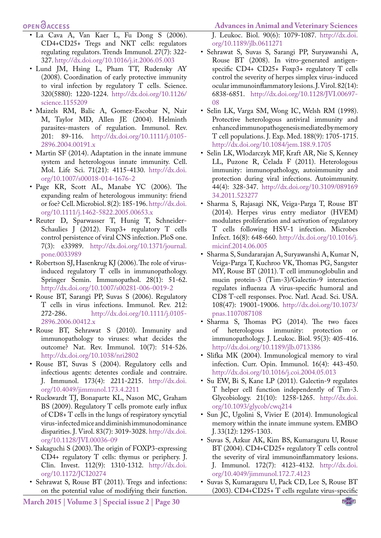- <span id="page-5-10"></span>• La Cava A, Van Kaer L, Fu Dong S (2006). CD4+CD25+ Tregs and NKT cells: regulators regulating regulators. Trends Immunol. 27(7): 322- 327. <http://dx.doi.org/10.1016/j.it.2006.05.003>
- <span id="page-5-23"></span>• Lund JM, Hsing L, Pham TT, Rudensky AY (2008). Coordination of early protective immunity to viral infection by regulatory T cells. Science. 320(5880): 1220-1224. [http://dx.doi.org/10.1126/](http://dx.doi.org/10.1126/science.1155209) [science.1155209](http://dx.doi.org/10.1126/science.1155209)
- <span id="page-5-19"></span>• Maizels RM, Balic A, Gomez-Escobar N, Nair M, Taylor MD, Allen JE (2004). Helminth parasites-masters of regulation. Immunol. Rev. 201: 89-116. [http://dx.doi.org/10.1111/j.0105-](http://dx.doi.org/10.1111/j.0105-2896.2004.00191.x) [2896.2004.00191.x](http://dx.doi.org/10.1111/j.0105-2896.2004.00191.x)
- <span id="page-5-0"></span>• Martin SF (2014). Adaptation in the innate immune system and heterologous innate immunity. Cell. Mol. Life Sci. 71(21): 4115-4130. [http://dx.doi.](http://dx.doi.org/10.1007/s00018-014-1676-2) [org/10.1007/s00018-014-1676-2](http://dx.doi.org/10.1007/s00018-014-1676-2)
- <span id="page-5-20"></span>• Page KR, Scott AL, Manabe YC (2006). The expanding realm of heterologous immunity: friend or foe? Cell. Microbiol. 8(2): 185-196. [http://dx.doi.](http://dx.doi.org/10.1111/j.1462-5822.2005.00653.x) [org/10.1111/j.1462-5822.2005.00653.x](http://dx.doi.org/10.1111/j.1462-5822.2005.00653.x)
- <span id="page-5-21"></span>• Reuter D, Sparwasser T, Hunig T, Schneider-Schaulies J (2012). Foxp3+ regulatory T cells control persistence of viral CNS infection. PloS one. 7(3): e33989. [http://dx.doi.org/10.1371/journal.](http://dx.doi.org/10.1371/journal.pone.0033989 ) [pone.0033989](http://dx.doi.org/10.1371/journal.pone.0033989 )
- <span id="page-5-11"></span>• Robertson SJ, Hasenkrug KJ (2006). The role of virusinduced regulatory T cells in immunopathology. Springer Semin. Immunopathol. 28(1): 51-62. <http://dx.doi.org/10.1007/s00281-006-0019-2>
- <span id="page-5-12"></span>• Rouse BT, Sarangi PP, Suvas S (2006). Regulatory T cells in virus infections. Immunol. Rev. 212: 272-286. [http://dx.doi.org/10.1111/j.0105-](http://dx.doi.org/10.1111/j.0105-2896.2006.00412.x) [2896.2006.00412.x](http://dx.doi.org/10.1111/j.0105-2896.2006.00412.x)
- <span id="page-5-9"></span>• Rouse BT, Sehrawat S (2010). Immunity and immunopathology to viruses: what decides the outcome? Nat. Rev. Immunol. 10(7): 514-526. <http://dx.doi.org/10.1038/nri2802>
- <span id="page-5-17"></span>• Rouse BT, Suvas S (2004). Regulatory cells and infectious agents: detentes cordiale and contraire. J. Immunol. 173(4): 2211-2215. [http://dx.doi.](http://dx.doi.org/10.4049/jimmunol.173.4.2211) [org/10.4049/jimmunol.173.4.2211](http://dx.doi.org/10.4049/jimmunol.173.4.2211)
- <span id="page-5-22"></span>• Ruckwardt TJ, Bonaparte KL, Nason MC, Graham BS (2009). Regulatory T cells promote early influx of CD8+ T cells in the lungs of respiratory syncytial virus-infected mice and diminish immunodominance disparities. J. Virol. 83(7): 3019-3028. [http://dx.doi.](http://dx.doi.org/10.1128/JVI.00036-09) [org/10.1128/JVI.00036-09](http://dx.doi.org/10.1128/JVI.00036-09)
- <span id="page-5-13"></span>• Sakaguchi S (2003). The origin of FOXP3-expressing CD4+ regulatory T cells: thymus or periphery. J. Clin. Invest. 112(9): 1310-1312. [http://dx.doi.](http://dx.doi.org/10.1172/JCI20274) [org/10.1172/JCI20274](http://dx.doi.org/10.1172/JCI20274)
- <span id="page-5-18"></span>• Sehrawat S, Rouse BT (2011). Tregs and infections: on the potential value of modifying their function.

**Advances in Animal and Veterinary Sciences**

J. Leukoc. Biol. 90(6): 1079-1087. [http://dx.doi.](http://dx.doi.org/10.1189/jlb.0611271) [org/10.1189/jlb.0611271](http://dx.doi.org/10.1189/jlb.0611271)

- <span id="page-5-15"></span>• Sehrawat S, Suvas S, Sarangi PP, Suryawanshi A, Rouse BT (2008). In vitro-generated antigenspecific CD4+ CD25+ Foxp3+ regulatory T cells control the severity of herpes simplex virus-induced ocular immunoinflammatory lesions. J. Virol. 82(14): 6838-6851. [http://dx.doi.org/10.1128/JVI.00697-](http://dx.doi.org/10.1128/JVI.00697-08) [08](http://dx.doi.org/10.1128/JVI.00697-08)
- <span id="page-5-5"></span>• Selin LK, Varga SM, Wong IC, Welsh RM (1998). Protective heterologous antiviral immunity and enhanced immunopathogenesis mediated by memory T cell populations. J. Exp. Med. 188(9): 1705-1715. <http://dx.doi.org/10.1084/jem.188.9.1705>
- <span id="page-5-2"></span>• Selin LK, Wlodarczyk MF, Kraft AR, Nie S, Kenney LL, Puzone R, Celada F (2011). Heterologous immunity: immunopathology, autoimmunity and protection during viral infections. Autoimmunity. 44(4): 328-347. [http://dx.doi.org/10.3109/089169](http://dx.doi.org/10.3109/08916934.2011.523277) [34.2011.523277](http://dx.doi.org/10.3109/08916934.2011.523277)
- <span id="page-5-16"></span>• Sharma S, Rajasagi NK, Veiga-Parga T, Rouse BT (2014). Herpes virus entry mediator (HVEM) modulates proliferation and activation of regulatory T cells following HSV-1 infection. Microbes Infect. 16(8): 648-660. [http://dx.doi.org/10.1016/j.](http://dx.doi.org/10.1016/j.micinf.2014.06.005) [micinf.2014.06.005](http://dx.doi.org/10.1016/j.micinf.2014.06.005)
- <span id="page-5-7"></span>• Sharma S, Sundararajan A, Suryawanshi A, Kumar N, Veiga-Parga T, Kuchroo VK, Thomas PG, Sangster MY, Rouse BT (2011). T cell immunoglobulin and mucin protein-3 (Tim-3)/Galectin-9 interaction regulates influenza A virus-specific humoral and CD8 T-cell responses. Proc. Natl. Acad. Sci. USA. 108(47): 19001-19006. [http://dx.doi.org/10.1073/](http://dx.doi.org/10.1073/pnas.1107087108) [pnas.1107087108](http://dx.doi.org/10.1073/pnas.1107087108)
- <span id="page-5-1"></span>• Sharma S, Thomas PG (2014). The two faces of heterologous immunity: protection or immunopathology. J. Leukoc. Biol. 95(3): 405-416. <http://dx.doi.org/10.1189/jlb.0713386>
- <span id="page-5-4"></span>• Slifka MK (2004). Immunological memory to viral infection. Curr. Opin. Immunol. 16(4): 443-450. <http://dx.doi.org/10.1016/j.coi.2004.05.013>
- <span id="page-5-8"></span>• Su EW, Bi S, Kane LP (2011). Galectin-9 regulates T helper cell function independently of Tim-3. Glycobiology. 21(10): 1258-1265. [http://dx.doi.](http://dx.doi.org/10.1093/glycob/cwq214) [org/10.1093/glycob/cwq214](http://dx.doi.org/10.1093/glycob/cwq214)
- <span id="page-5-3"></span>• Sun JC, Ugolini S, Vivier E (2014). Immunological memory within the innate immune system. EMBO J. 33(12): 1295-1303.
- <span id="page-5-14"></span>• Suvas S, Azkur AK, Kim BS, Kumaraguru U, Rouse BT (2004). CD4+CD25+ regulatory T cells control the severity of viral immunoinflammatory lesions. J. Immunol. 172(7): 4123-4132. [http://dx.doi.](http://dx.doi.org/10.4049/jimmunol.172.7.4123) [org/10.4049/jimmunol.172.7.4123](http://dx.doi.org/10.4049/jimmunol.172.7.4123)
- <span id="page-5-6"></span>• Suvas S, Kumaraguru U, Pack CD, Lee S, Rouse BT (2003). CD4+CD25+ T cells regulate virus-specific

NE**Xus**